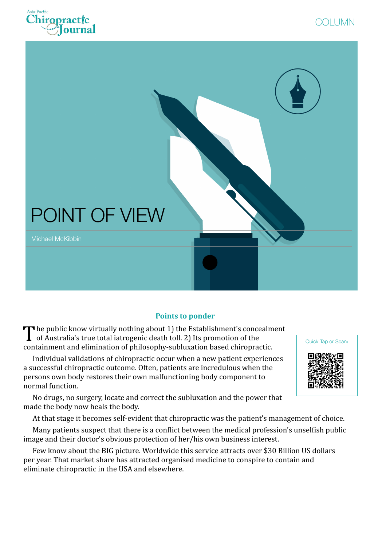





### **Points to ponder**

The public know virtually nothing about 1) the Establishment's concealment<br>of Australia's true total iatrogenic death toll. 2) Its promotion of the containment and elimination of philosophy-subluxation based chiropractic.

Individual validations of chiropractic occur when a new patient experiences a successful chiropractic outcome. Often, patients are incredulous when the persons own body restores their own malfunctioning body component to normal function.



No drugs, no surgery, locate and correct the subluxation and the power that made the body now heals the body.

At that stage it becomes self-evident that chiropractic was the patient's management of choice.

Many patients suspect that there is a conflict between the medical profession's unselfish public image and their doctor's obvious protection of her/his own business interest.

Few know about the BIG picture. Worldwide this service attracts over \$30 Billion US dollars per year. That market share has attracted organised medicine to conspire to contain and eliminate chiropractic in the USA and elsewhere.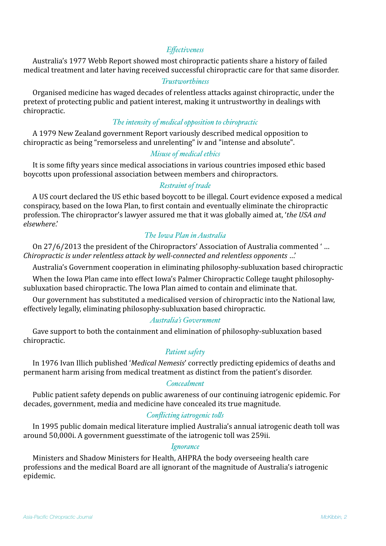## *Effectiveness*

Australia's 1977 Webb Report showed most chiropractic patients share a history of failed medical treatment and later having received successful chiropractic care for that same disorder.

#### *Trustworthiness*

Organised medicine has waged decades of relentless attacks against chiropractic, under the pretext of protecting public and patient interest, making it untrustworthy in dealings with chiropractic. 

### *The intensity of medical opposition to chiropractic*

A 1979 New Zealand government Report variously described medical opposition to chiropractic as being "remorseless and unrelenting" iv and "intense and absolute".

# *Misuse of medical ethics*

It is some fifty years since medical associations in various countries imposed ethic based boycotts upon professional association between members and chiropractors.

## *Restraint of trade*

A US court declared the US ethic based boycott to be illegal. Court evidence exposed a medical conspiracy, based on the Iowa Plan, to first contain and eventually eliminate the chiropractic profession. The chiropractor's lawyer assured me that it was globally aimed at, 'the USA and *elsewhere*.' 

# *The Iowa Plan in Australia*

On 27/6/2013 the president of the Chiropractors' Association of Australia commented '... *Chiropractic is under relentless attack by well-connected and relentless opponents ...'* 

Australia's Government cooperation in eliminating philosophy-subluxation based chiropractic

When the Iowa Plan came into effect Iowa's Palmer Chiropractic College taught philosophysubluxation based chiropractic. The Iowa Plan aimed to contain and eliminate that.

Our government has substituted a medicalised version of chiropractic into the National law, effectively legally, eliminating philosophy-subluxation based chiropractic.

#### *Australia's Government*

Gave support to both the containment and elimination of philosophy-subluxation based chiropractic. 

# *Patient safety*

In 1976 Ivan Illich published '*Medical Nemesis*' correctly predicting epidemics of deaths and permanent harm arising from medical treatment as distinct from the patient's disorder.

## *Concealment*

Public patient safety depends on public awareness of our continuing iatrogenic epidemic. For decades, government, media and medicine have concealed its true magnitude.

# *Conflicting iatrogenic tols*

In 1995 public domain medical literature implied Australia's annual iatrogenic death toll was around 50,000i. A government guesstimate of the iatrogenic toll was 259ii.

### *Ignorance*

Ministers and Shadow Ministers for Health, AHPRA the body overseeing health care professions and the medical Board are all ignorant of the magnitude of Australia's iatrogenic epidemic.